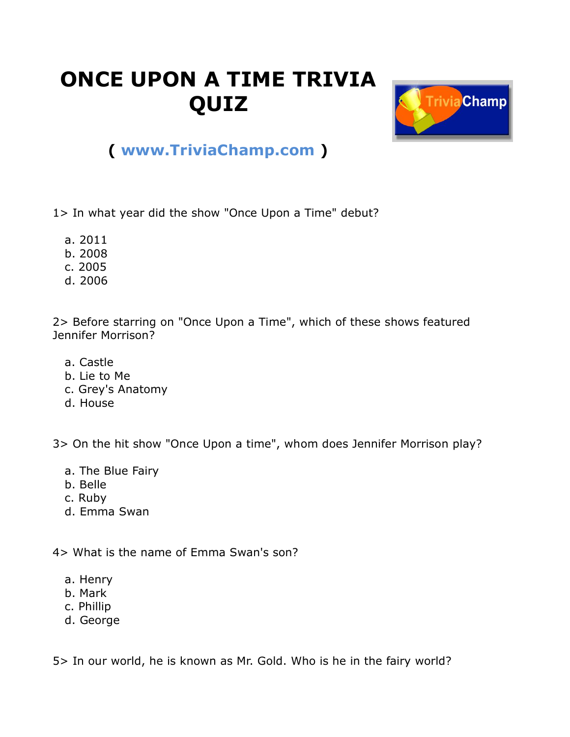## **ONCE UPON A TIME TRIVIA QUIZ**



## **( [www.TriviaChamp.com](http://www.triviachamp.com/) )**

1> In what year did the show "Once Upon a Time" debut?

- a. 2011
- b. 2008
- c. 2005
- d. 2006

2> Before starring on "Once Upon a Time", which of these shows featured Jennifer Morrison?

- a. Castle
- b. Lie to Me
- c. Grey's Anatomy
- d. House

3> On the hit show "Once Upon a time", whom does Jennifer Morrison play?

- a. The Blue Fairy
- b. Belle
- c. Ruby
- d. Emma Swan

4> What is the name of Emma Swan's son?

- a. Henry
- b. Mark
- c. Phillip
- d. George

5> In our world, he is known as Mr. Gold. Who is he in the fairy world?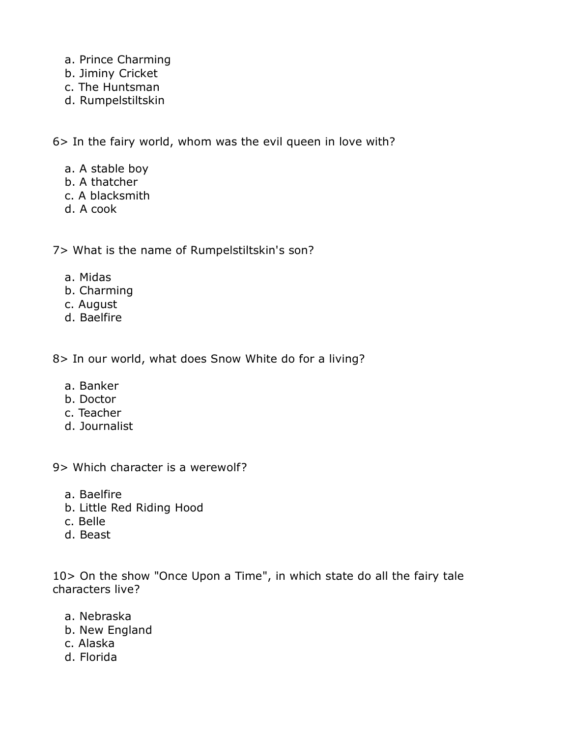- a. Prince Charming
- b. Jiminy Cricket
- c. The Huntsman
- d. Rumpelstiltskin

6> In the fairy world, whom was the evil queen in love with?

- a. A stable boy
- b. A thatcher
- c. A blacksmith
- d. A cook

7> What is the name of Rumpelstiltskin's son?

- a. Midas
- b. Charming
- c. August
- d. Baelfire

8> In our world, what does Snow White do for a living?

- a. Banker
- b. Doctor
- c. Teacher
- d. Journalist

9> Which character is a werewolf?

- a. Baelfire
- b. Little Red Riding Hood
- c. Belle
- d. Beast

10> On the show "Once Upon a Time", in which state do all the fairy tale characters live?

- a. Nebraska
- b. New England
- c. Alaska
- d. Florida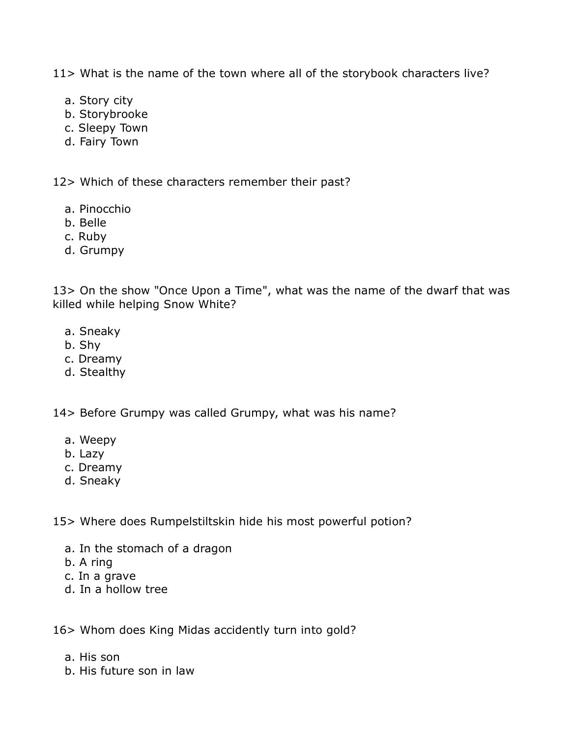11> What is the name of the town where all of the storybook characters live?

- a. Story city
- b. Storybrooke
- c. Sleepy Town
- d. Fairy Town

12> Which of these characters remember their past?

- a. Pinocchio
- b. Belle
- c. Ruby
- d. Grumpy

13> On the show "Once Upon a Time", what was the name of the dwarf that was killed while helping Snow White?

- a. Sneaky
- b. Shy
- c. Dreamy
- d. Stealthy

14> Before Grumpy was called Grumpy, what was his name?

- a. Weepy
- b. Lazy
- c. Dreamy
- d. Sneaky

15> Where does Rumpelstiltskin hide his most powerful potion?

- a. In the stomach of a dragon
- b. A ring
- c. In a grave
- d. In a hollow tree

16> Whom does King Midas accidently turn into gold?

- a. His son
- b. His future son in law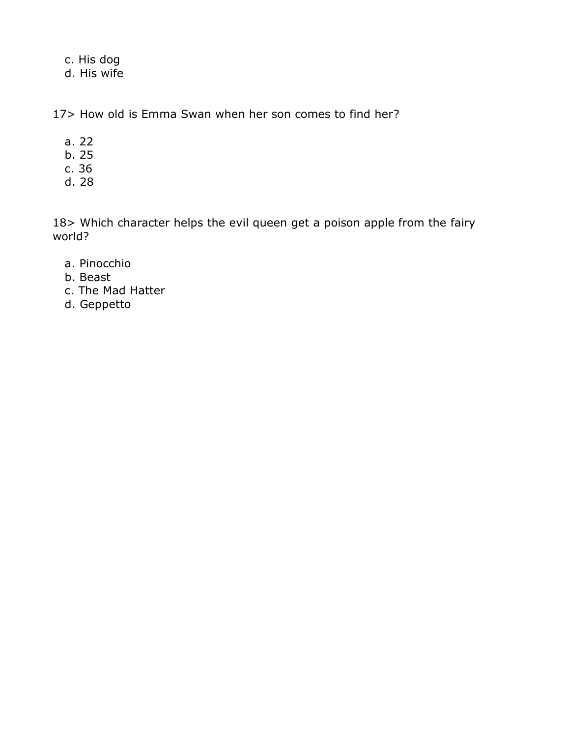c. His dog

d. His wife

17> How old is Emma Swan when her son comes to find her?

- a. 22
- b. 25
- c. 36
- d. 28

18> Which character helps the evil queen get a poison apple from the fairy world?

- a. Pinocchio
- b. Beast
- c. The Mad Hatter
- d. Geppetto